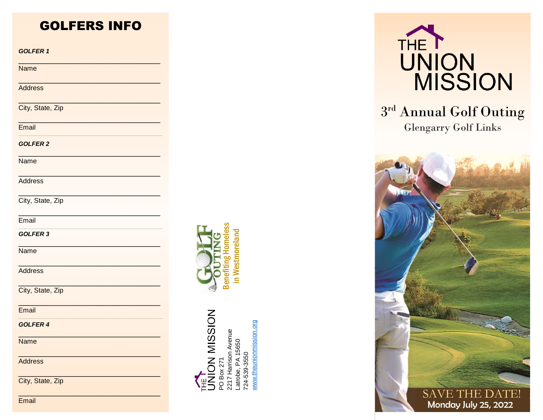# **GOLFERS INFO**

**GOLFER 1** 

**Name** 

**Address** 

City, State, Zip

Fmail

**GOLFER 2** 

**Name** 

**Address** 

City, State, Zip

Email

GOLFER 3

Name

Address

City, State, Zip

Email

**GOLFER 4** 

**Name** 

Address

City, State, Zip





VION MISSION www.theunionmission.org 2217 Harrison Avenue<br>Latrobe, PA 15650<br>724-539-3550 O Box 271



# 3rd Annual Golf Outing **Glengarry Golf Links**